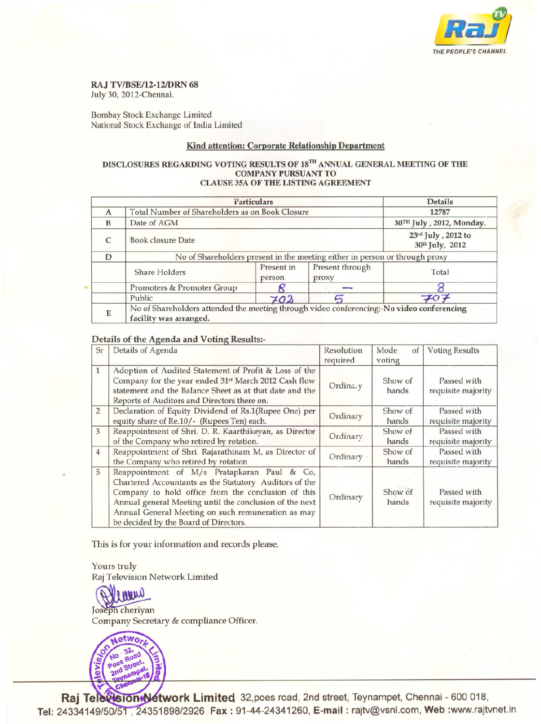

#### RAJ TV/BSE/12-12/DRN 68

July 30, 2012-Chennai.

Bombay Stock Exchange Limited National Stock Exchange of India Limited

# Kind attention: Corporate Relationship Department

#### DISCLOSURES REGARDING VOTING RESULTS OF 18'" ANNUAL GENERAL MEETING OF THE COMPANY PURSUANT TO CLAUSE 35A OF THE LISTING AGREEMENT

|   | Particulars                                                                                                         | <b>Details</b>       |                          |                                       |  |  |
|---|---------------------------------------------------------------------------------------------------------------------|----------------------|--------------------------|---------------------------------------|--|--|
| A | Total Number of Shareholders as on Book Closure                                                                     |                      |                          | 12787                                 |  |  |
| B | Date of AGM                                                                                                         |                      |                          | 30TH July , 2012, Monday.             |  |  |
| C | <b>Book closure Date</b>                                                                                            |                      |                          | 23rd July, 2012 to<br>30th July, 2012 |  |  |
| D | No of Shareholders present in the meeting either in person or through proxy                                         |                      |                          |                                       |  |  |
|   | <b>Share Holders</b>                                                                                                | Present in<br>person | Present through<br>proxy | Total                                 |  |  |
|   | Promoters & Promoter Group                                                                                          |                      |                          |                                       |  |  |
|   | Public                                                                                                              | 702                  |                          | $\neq$                                |  |  |
| E | No of Shareholders attended the meeting through video conferencing:-No video conferencing<br>facility was arranged. |                      |                          |                                       |  |  |

### Details of the Agenda and Voting Results:-

| Sr             | Details of Agenda                                                                                                                                                                                                                                                                                                     | Resolution<br>required | Mode<br>of<br>voting | <b>Voting Results</b>             |
|----------------|-----------------------------------------------------------------------------------------------------------------------------------------------------------------------------------------------------------------------------------------------------------------------------------------------------------------------|------------------------|----------------------|-----------------------------------|
| $\mathbf{1}$   | Adoption of Audited Statement of Profit & Loss of the<br>Company for the year ended 31st March 2012 Cash flow<br>statement and the Balance Sheet as at that date and the<br>Reports of Auditors and Directors there on.                                                                                               | Ordinary               | Show of<br>hands     | Passed with<br>requisite majority |
| $\overline{2}$ | Declaration of Equity Dividend of Rs.1(Rupee One) per<br>equity share of Re.10/- (Rupees Ten) each.                                                                                                                                                                                                                   | Ordinary               | Show of<br>hands     | Passed with<br>requisite majority |
| 3              | Reappointment of Shri. D. R. Kaarthikeyan, as Director<br>of the Company who retired by rotation.                                                                                                                                                                                                                     | Ordinary               | Show of<br>hands     | Passed with<br>requisite majority |
| $\overline{4}$ | Reappointment of Shri. Rajarathinam M, as Director of<br>the Company who retired by rotation                                                                                                                                                                                                                          | Ordinary ·             | Show of<br>hands     | Passed with<br>requisite majority |
| 5              | Reappointment of M/s Pratapkaran Paul & Co,<br>Chartered Accountants as the Statutory Auditors of the<br>Company to hold office from the conclusion of this<br>Annual general Meeting until the conclusion of the next<br>Annual General Meeting on such remuneration as may<br>be decided by the Board of Directors. | Ordinary               | Show of<br>hands     | Passed with<br>requisite majority |

This is for your information and records please.

Yours truly Raj Television Network Limited

nnm

Joseph cheriyan Company Secretary & compliance Officer.



**Raj Te twork Limited** 32,poes road, 2nd street, Teynampet, Chennai - 600 018, **Tel:** 24334149/50/51 , 24351898/2926 Fax : 91-44-24341260, **E-mail :** rajtv@vsnl.com, **web :**www.rajtvnet